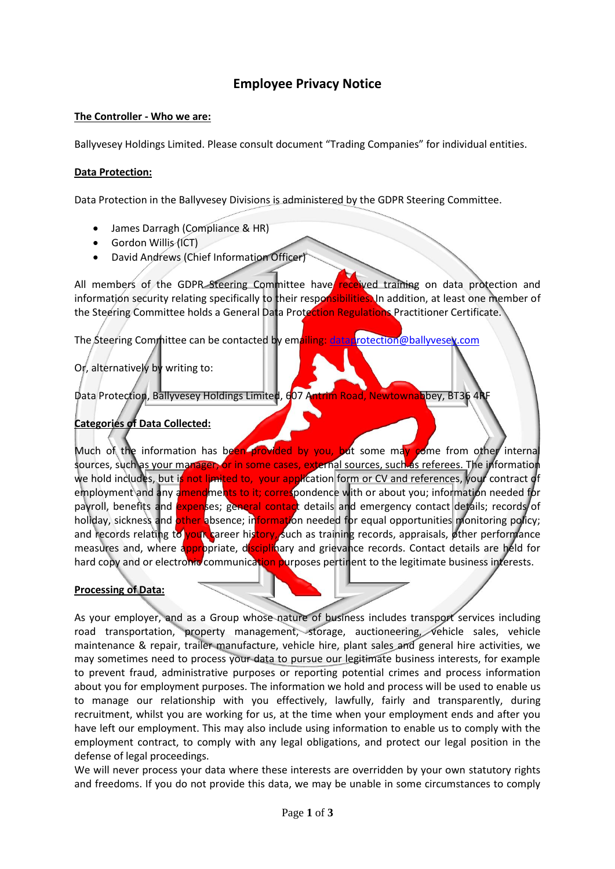# **Employee Privacy Notice**

#### **The Controller - Who we are:**

Ballyvesey Holdings Limited. Please consult document "Trading Companies" for individual entities.

#### **Data Protection:**

Data Protection in the Ballyvesey Divisions is administered by the GDPR Steering Committee.

- James Darragh (Compliance & HR)
- Gordon Willis (ICT)
- David Andrews (Chief Information Officer)

All members of the GDPR Steering Committee have received training on data protection and information security relating specifically to their responsibilities. In addition, at least one member of the Steering Committee holds a General Data Protection Regulations Practitioner Certificate.

The Steering Committee can be contacted by emailing: [dataprotection@ballyvesey.com](mailto:dataprotection@ballyvesey.com)

## Or, alternatively by writing to:

Data Protection, Ballyvesey Holdings Limited, 607 Antrim Road, Newtownabbey, BT36 4RF

## **Categories of Data Collected:**

Much of the information has been provided by you, but some may come from other internal sources, such as your manager, or in some cases, external sources, such as referees. The information we hold includes, but is not limited to, your application form or CV and references, your contract of employment and any amendments to it; correspondence with or about you; information needed for payroll, benefits and expenses; general contact details and emergency contact details; records of holiday, sickness and other absence; information needed for equal opportunities monitoring policy; and records relating to your career history, such as training records, appraisals, other performance measures and, where appropriate, disciplinary and grievance records. Contact details are held for hard copy and or electronic communication purposes pertinent to the legitimate business interests.

#### **Processing of Data:**

As your employer, and as a Group whose nature of business includes transport services including road transportation, property management, storage, auctioneering, vehicle sales, vehicle maintenance & repair, trailer manufacture, vehicle hire, plant sales and general hire activities, we may sometimes need to process your data to pursue our legitimate business interests, for example to prevent fraud, administrative purposes or reporting potential crimes and process information about you for employment purposes. The information we hold and process will be used to enable us to manage our relationship with you effectively, lawfully, fairly and transparently, during recruitment, whilst you are working for us, at the time when your employment ends and after you have left our employment. This may also include using information to enable us to comply with the employment contract, to comply with any legal obligations, and protect our legal position in the defense of legal proceedings.

We will never process your data where these interests are overridden by your own statutory rights and freedoms. If you do not provide this data, we may be unable in some circumstances to comply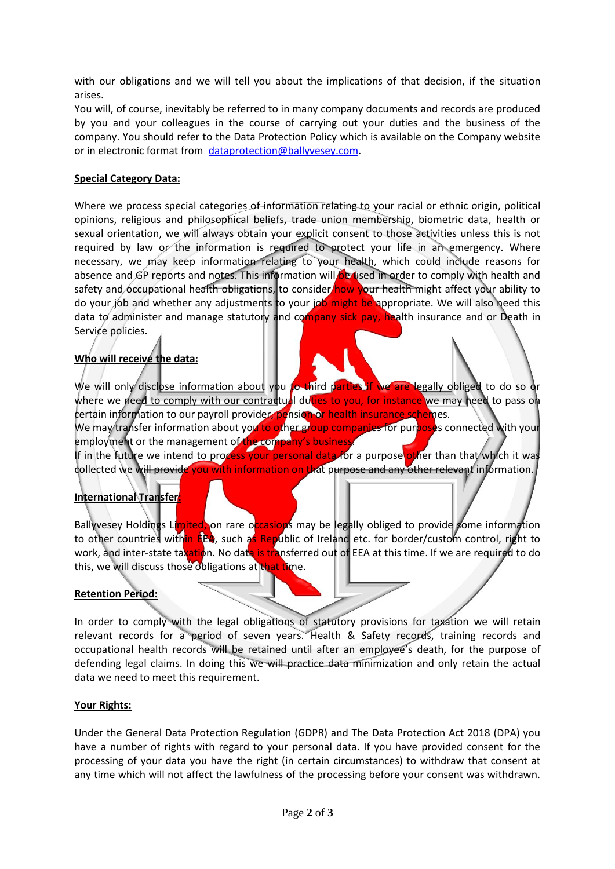with our obligations and we will tell you about the implications of that decision, if the situation arises.

You will, of course, inevitably be referred to in many company documents and records are produced by you and your colleagues in the course of carrying out your duties and the business of the company. You should refer to the Data Protection Policy which is available on the Company website or in electronic format from [dataprotection@ballyvesey.com.](mailto:dataprotection@ballyvesey.com)

#### **Special Category Data:**

Where we process special categories of information relating to your racial or ethnic origin, political opinions, religious and philosophical beliefs, trade union membership, biometric data, health or sexual orientation, we will always obtain your explicit consent to those activities unless this is not required by law or the information is required to protect your life in an emergency. Where necessary, we may keep information relating to your health, which could include reasons for absence and GP reports and notes. This information will be used in order to comply with health and safety and occupational health obligations, to consider how your health might affect your ability to do your job and whether any adjustments to your job might be appropriate. We will also need this data to administer and manage statutory and company sick pay, health insurance and or Death in Service policies.

## **Who will receive the data:**

We will only disclose information about you to third parties if we are legally obliged to do so or where we need to comply with our contractual duties to you, for instance we may need to pass on certain information to our payroll provider, pension or health insurance schemes. We may transfer information about you to other group companies for purposes connected with your employment or the management of the company's business.

If in the future we intend to process your personal data for a purpose other than that which it was collected we will provide you with information on that purpose and any other relevant information.

## **International Transfer:**

Ballyvesey Holdings Limited, on rare occasions may be legally obliged to provide some information to other countries within EEA, such as Republic of Ireland etc. for border/custom control, right to work, and inter-state taxation. No data is transferred out of EEA at this time. If we are required to do this, we will discuss those obligations at that time.

#### **Retention Period:**

In order to comply with the legal obligations of statutory provisions for taxation we will retain relevant records for a period of seven years. Health & Safety records, training records and occupational health records will be retained until after an employee's death, for the purpose of defending legal claims. In doing this we will practice data minimization and only retain the actual data we need to meet this requirement.

#### **Your Rights:**

Under the General Data Protection Regulation (GDPR) and The Data Protection Act 2018 (DPA) you have a number of rights with regard to your personal data. If you have provided consent for the processing of your data you have the right (in certain circumstances) to withdraw that consent at any time which will not affect the lawfulness of the processing before your consent was withdrawn.